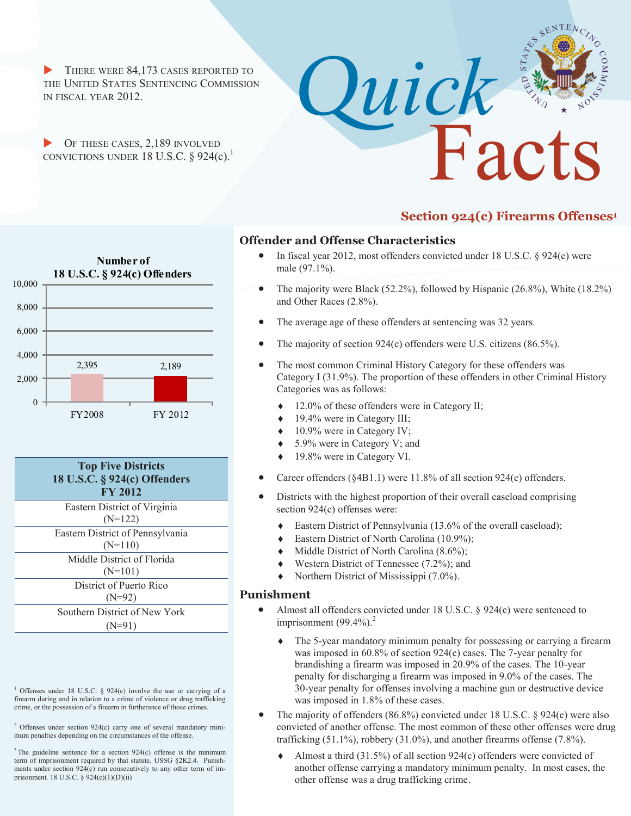THERE WERE 84,173 CASES REPORTED TO THE UNITED STATES SENTENCING COMMISSION IN FISCAL YEAR 2012.

OF THESE CASES, 2,189 INVOLVED CONVICTIONS UNDER 18 U.S.C.  $\S$  924(c).<sup>1</sup>



### **Section 924(c) Firearms Offenses<sup>1</sup>**

# 2,395 2,189 0 2,000 4,000 6,000 8,000 10,000 FY2008 FY 2012 **Number of 18 U.S.C. § 924(c) Offenders**



<sup>1</sup> Offenses under 18 U.S.C.  $\S$  924(c) involve the use or carrying of a firearm during and in relation to a crime of violence or drug trafficking crime, or the possession of a firearm in furtherance of those crimes.

 $2$  Offenses under section 924(c) carry one of several mandatory minimum penalties depending on the circumstances of the offense.

#### **Offender and Offense Characteristics**

- In fiscal year 2012, most offenders convicted under 18 U.S.C. § 924(c) were male (97.1%).
- The majority were Black (52.2%), followed by Hispanic (26.8%), White (18.2%) and Other Races (2.8%).
- The average age of these offenders at sentencing was 32 years.

*Quick*

- The majority of section 924(c) offenders were U.S. citizens (86.5%).
- The most common Criminal History Category for these offenders was Category I (31.9%). The proportion of these offenders in other Criminal History Categories was as follows:
	- 12.0% of these offenders were in Category II;
	- 19.4% were in Category III;
	- 10.9% were in Category IV;
	- ◆ 5.9% were in Category V; and
	- 19.8% were in Category VI.
- Career offenders (§4B1.1) were 11.8% of all section 924(c) offenders.
- Districts with the highest proportion of their overall caseload comprising section 924(c) offenses were:
	- Eastern District of Pennsylvania (13.6% of the overall caseload);
	- ◆ Eastern District of North Carolina (10.9%);
	- Middle District of North Carolina (8.6%);
	- Western District of Tennessee (7.2%); and
	- Northern District of Mississippi (7.0%).

#### **Punishment**

- Almost all offenders convicted under 18 U.S.C. § 924(c) were sentenced to imprisonment  $(99.4\%)$ .<sup>2</sup>
	- The 5-year mandatory minimum penalty for possessing or carrying a firearm was imposed in 60.8% of section 924(c) cases. The 7-year penalty for brandishing a firearm was imposed in 20.9% of the cases. The 10-year penalty for discharging a firearm was imposed in 9.0% of the cases. The 30-year penalty for offenses involving a machine gun or destructive device was imposed in 1.8% of these cases.
- The majority of offenders (86.8%) convicted under 18 U.S.C. § 924(c) were also convicted of another offense. The most common of these other offenses were drug trafficking (51.1%), robbery (31.0%), and another firearms offense (7.8%).
	- Almost a third (31.5%) of all section 924(c) offenders were convicted of another offense carrying a mandatory minimum penalty. In most cases, the other offense was a drug trafficking crime.

 $3$  The guideline sentence for a section  $924(c)$  offense is the minimum term of imprisonment required by that statute. USSG §2K2.4. Punishments under section 924(c) run consecutively to any other term of imprisonment. 18 U.S.C. § 924(c)(1)(D)(ii)